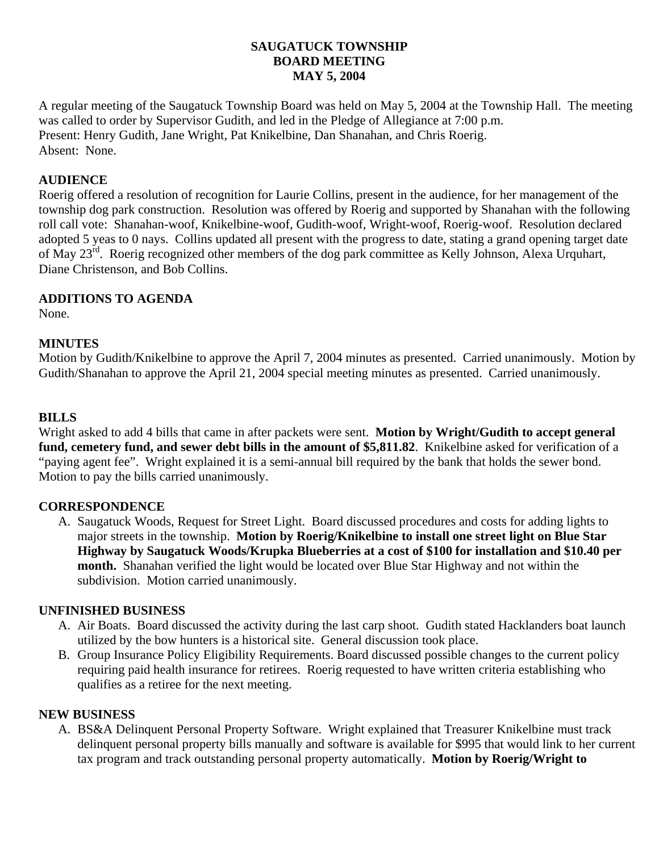#### **SAUGATUCK TOWNSHIP BOARD MEETING MAY 5, 2004**

A regular meeting of the Saugatuck Township Board was held on May 5, 2004 at the Township Hall. The meeting was called to order by Supervisor Gudith, and led in the Pledge of Allegiance at 7:00 p.m. Present: Henry Gudith, Jane Wright, Pat Knikelbine, Dan Shanahan, and Chris Roerig. Absent: None.

## **AUDIENCE**

Roerig offered a resolution of recognition for Laurie Collins, present in the audience, for her management of the township dog park construction. Resolution was offered by Roerig and supported by Shanahan with the following roll call vote: Shanahan-woof, Knikelbine-woof, Gudith-woof, Wright-woof, Roerig-woof. Resolution declared adopted 5 yeas to 0 nays. Collins updated all present with the progress to date, stating a grand opening target date of May 23<sup>rd</sup>. Roerig recognized other members of the dog park committee as Kelly Johnson, Alexa Urquhart, Diane Christenson, and Bob Collins.

## **ADDITIONS TO AGENDA**

None*.*

## **MINUTES**

Motion by Gudith/Knikelbine to approve the April 7, 2004 minutes as presented. Carried unanimously. Motion by Gudith/Shanahan to approve the April 21, 2004 special meeting minutes as presented. Carried unanimously.

## **BILLS**

Wright asked to add 4 bills that came in after packets were sent. **Motion by Wright/Gudith to accept general fund, cemetery fund, and sewer debt bills in the amount of \$5,811.82**. Knikelbine asked for verification of a "paying agent fee". Wright explained it is a semi-annual bill required by the bank that holds the sewer bond. Motion to pay the bills carried unanimously.

### **CORRESPONDENCE**

A. Saugatuck Woods, Request for Street Light. Board discussed procedures and costs for adding lights to major streets in the township. **Motion by Roerig/Knikelbine to install one street light on Blue Star Highway by Saugatuck Woods/Krupka Blueberries at a cost of \$100 for installation and \$10.40 per month.** Shanahan verified the light would be located over Blue Star Highway and not within the subdivision. Motion carried unanimously.

### **UNFINISHED BUSINESS**

- A. Air Boats. Board discussed the activity during the last carp shoot. Gudith stated Hacklanders boat launch utilized by the bow hunters is a historical site. General discussion took place.
- B. Group Insurance Policy Eligibility Requirements. Board discussed possible changes to the current policy requiring paid health insurance for retirees. Roerig requested to have written criteria establishing who qualifies as a retiree for the next meeting.

### **NEW BUSINESS**

A. BS&A Delinquent Personal Property Software. Wright explained that Treasurer Knikelbine must track delinquent personal property bills manually and software is available for \$995 that would link to her current tax program and track outstanding personal property automatically. **Motion by Roerig/Wright to**